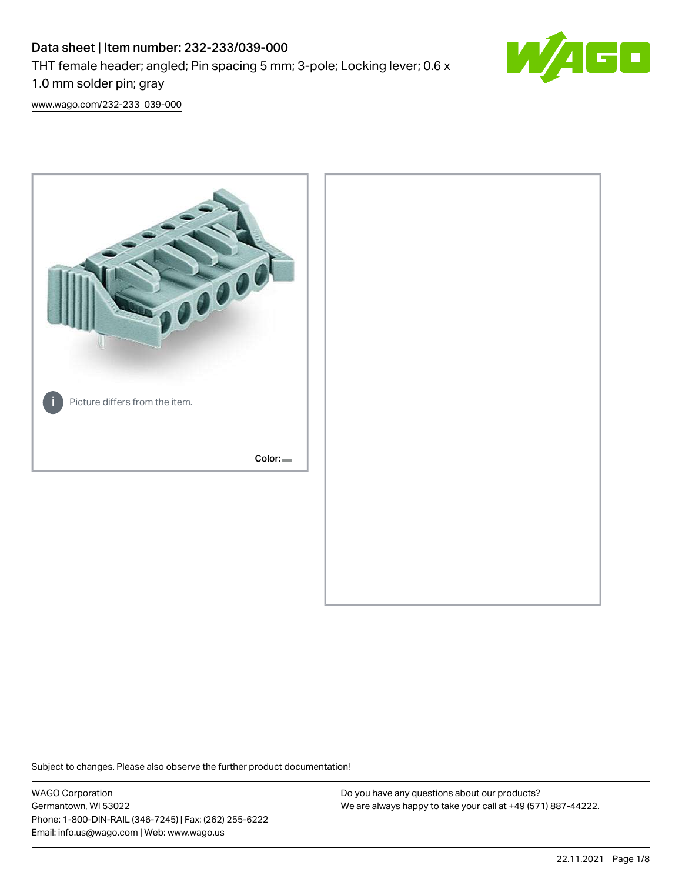# Data sheet | Item number: 232-233/039-000 THT female header; angled; Pin spacing 5 mm; 3-pole; Locking lever; 0.6 x 1.0 mm solder pin; gray



[www.wago.com/232-233\\_039-000](http://www.wago.com/232-233_039-000)



Subject to changes. Please also observe the further product documentation!

WAGO Corporation Germantown, WI 53022 Phone: 1-800-DIN-RAIL (346-7245) | Fax: (262) 255-6222 Email: info.us@wago.com | Web: www.wago.us

Do you have any questions about our products? We are always happy to take your call at +49 (571) 887-44222.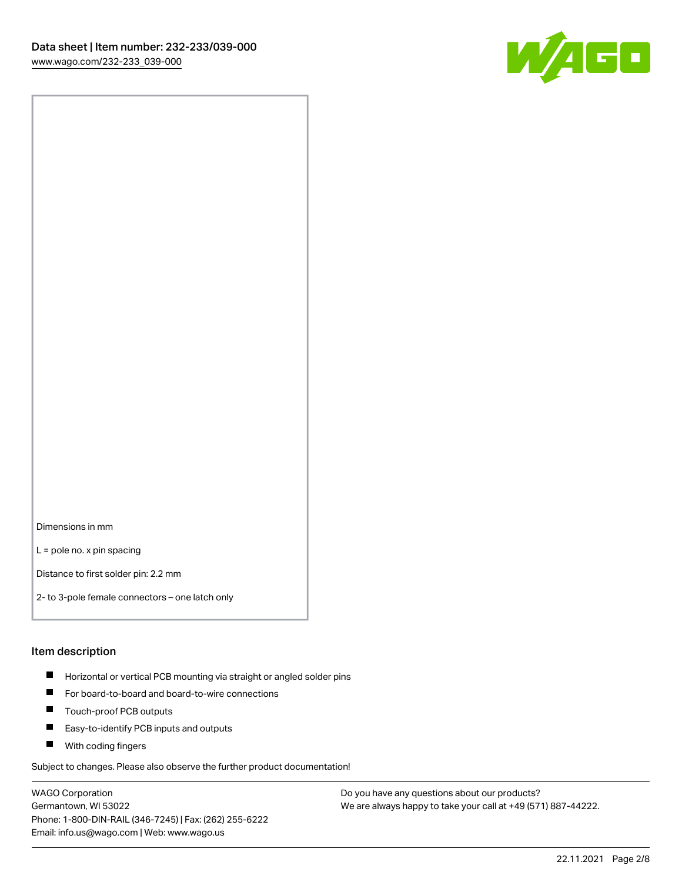

Dimensions in mm

L = pole no. x pin spacing

Distance to first solder pin: 2.2 mm

2- to 3-pole female connectors – one latch only

#### Item description

- **Horizontal or vertical PCB mounting via straight or angled solder pins**
- For board-to-board and board-to-wire connections
- $\blacksquare$ Touch-proof PCB outputs
- $\blacksquare$ Easy-to-identify PCB inputs and outputs
- **Now With coding fingers**

Subject to changes. Please also observe the further product documentation!

WAGO Corporation Germantown, WI 53022 Phone: 1-800-DIN-RAIL (346-7245) | Fax: (262) 255-6222 Email: info.us@wago.com | Web: www.wago.us

Do you have any questions about our products? We are always happy to take your call at +49 (571) 887-44222.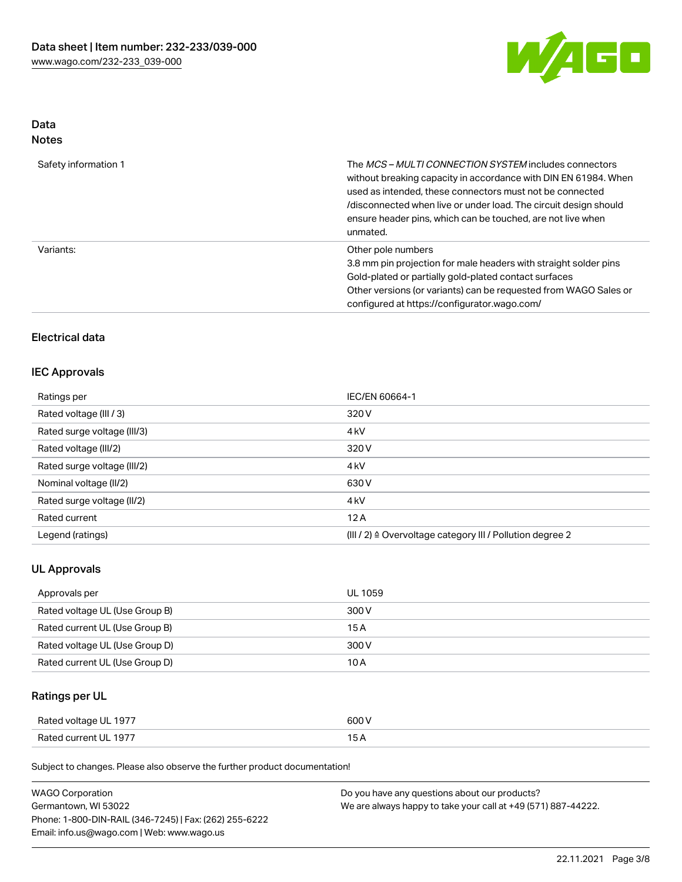

# Data

| Safety information 1 | The <i>MCS – MULTI CONNECTION SYSTEM</i> includes connectors<br>without breaking capacity in accordance with DIN EN 61984. When<br>used as intended, these connectors must not be connected<br>/disconnected when live or under load. The circuit design should<br>ensure header pins, which can be touched, are not live when<br>unmated. |
|----------------------|--------------------------------------------------------------------------------------------------------------------------------------------------------------------------------------------------------------------------------------------------------------------------------------------------------------------------------------------|
| Variants:            | Other pole numbers<br>3.8 mm pin projection for male headers with straight solder pins<br>Gold-plated or partially gold-plated contact surfaces<br>Other versions (or variants) can be requested from WAGO Sales or<br>configured at https://configurator.wago.com/                                                                        |

### Electrical data

#### IEC Approvals

| Ratings per                 | IEC/EN 60664-1                                                       |  |
|-----------------------------|----------------------------------------------------------------------|--|
| Rated voltage (III / 3)     | 320 V                                                                |  |
| Rated surge voltage (III/3) | 4 <sub>k</sub> V                                                     |  |
| Rated voltage (III/2)       | 320 V                                                                |  |
| Rated surge voltage (III/2) | 4 <sub>k</sub> V                                                     |  |
| Nominal voltage (II/2)      | 630 V                                                                |  |
| Rated surge voltage (II/2)  | 4 <sub>k</sub> V                                                     |  |
| Rated current               | 12A                                                                  |  |
| Legend (ratings)            | (III / 2) $\triangleq$ Overvoltage category III / Pollution degree 2 |  |

#### UL Approvals

| Approvals per                  | UL 1059 |
|--------------------------------|---------|
| Rated voltage UL (Use Group B) | 300 V   |
| Rated current UL (Use Group B) | 15 A    |
| Rated voltage UL (Use Group D) | 300 V   |
| Rated current UL (Use Group D) | 10 A    |

# Ratings per UL

| Rated voltage UL 1977 | 600 V |
|-----------------------|-------|
| Rated current UL 1977 |       |

| <b>WAGO Corporation</b>                                | Do you have any questions about our products?                 |
|--------------------------------------------------------|---------------------------------------------------------------|
| Germantown, WI 53022                                   | We are always happy to take your call at +49 (571) 887-44222. |
| Phone: 1-800-DIN-RAIL (346-7245)   Fax: (262) 255-6222 |                                                               |
| Email: info.us@wago.com   Web: www.wago.us             |                                                               |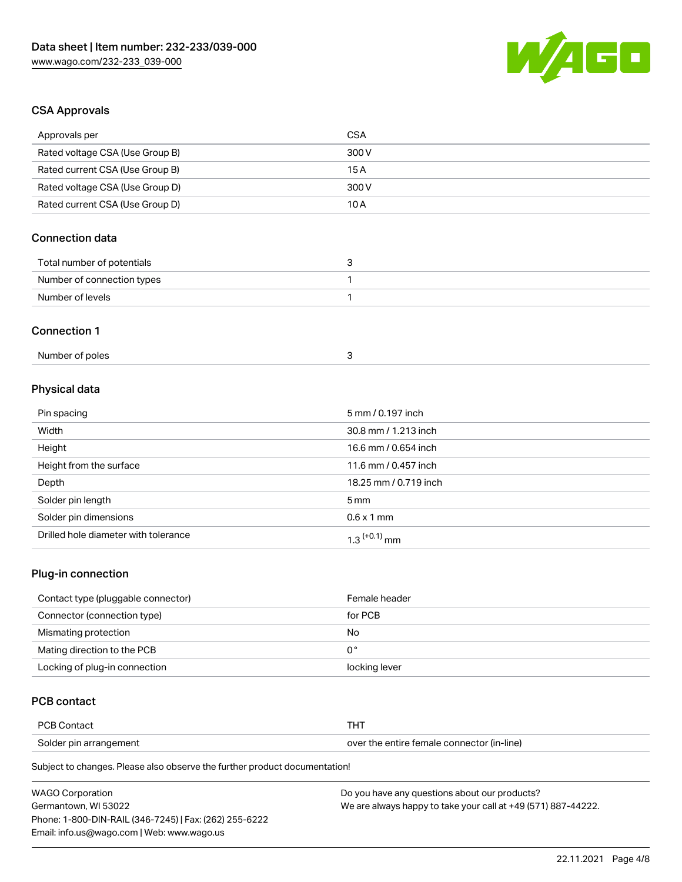

## CSA Approvals

| Approvals per                   | <b>CSA</b>            |
|---------------------------------|-----------------------|
| Rated voltage CSA (Use Group B) | 300V                  |
| Rated current CSA (Use Group B) | 15A                   |
| Rated voltage CSA (Use Group D) | 300V                  |
| Rated current CSA (Use Group D) | 10A                   |
| <b>Connection data</b>          |                       |
| Total number of potentials      | 3                     |
| Number of connection types      | 1                     |
| Number of levels                | $\mathbf{1}$          |
| <b>Connection 1</b>             |                       |
| Number of poles                 | 3                     |
| Physical data                   |                       |
| Pin spacing                     | 5 mm / 0.197 inch     |
| Width                           | 30.8 mm / 1.213 inch  |
| Height                          | 16.6 mm / 0.654 inch  |
| Height from the surface         | 11.6 mm / 0.457 inch  |
| Depth                           | 18.25 mm / 0.719 inch |
| Solder pin length               | 5 <sub>mm</sub>       |
|                                 |                       |

# Solder pin dimensions 6.6 x 1 mm Drilled hole diameter with tolerance  $1.3$   $(+0.1)$  mm

#### Plug-in connection

| Contact type (pluggable connector) | Female header |
|------------------------------------|---------------|
| Connector (connection type)        | for PCB       |
| Mismating protection               | No            |
| Mating direction to the PCB        | 0°            |
| Locking of plug-in connection      | locking lever |

## PCB contact

| <b>PCB Contact</b>     |                                            |
|------------------------|--------------------------------------------|
| Solder pin arrangement | over the entire female connector (in-line) |

| <b>WAGO Corporation</b>                                | Do you have any questions about our products?                 |
|--------------------------------------------------------|---------------------------------------------------------------|
| Germantown, WI 53022                                   | We are always happy to take your call at +49 (571) 887-44222. |
| Phone: 1-800-DIN-RAIL (346-7245)   Fax: (262) 255-6222 |                                                               |
| Email: info.us@wago.com   Web: www.wago.us             |                                                               |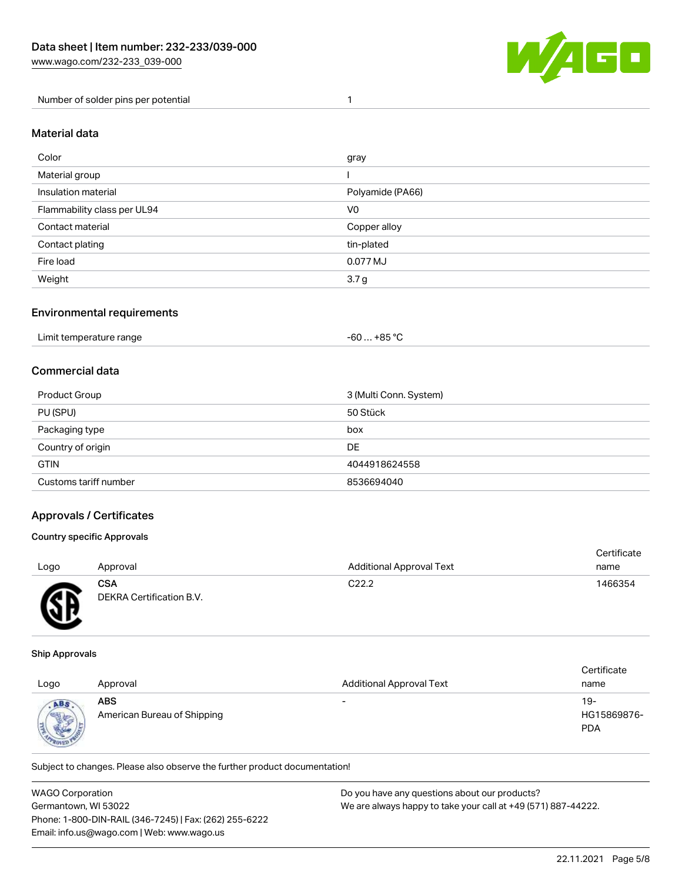

Number of solder pins per potential 1

#### Material data

| Color                       | gray             |
|-----------------------------|------------------|
| Material group              |                  |
| Insulation material         | Polyamide (PA66) |
| Flammability class per UL94 | V <sub>0</sub>   |
| Contact material            | Copper alloy     |
| Contact plating             | tin-plated       |
| Fire load                   | 0.077 MJ         |
| Weight                      | 3.7 <sub>g</sub> |

#### Environmental requirements

| Limit temperature range | . +85 °C<br>-60 |  |
|-------------------------|-----------------|--|
|-------------------------|-----------------|--|

#### Commercial data

| Product Group         | 3 (Multi Conn. System) |
|-----------------------|------------------------|
| PU (SPU)              | 50 Stück               |
| Packaging type        | box                    |
| Country of origin     | <b>DE</b>              |
| <b>GTIN</b>           | 4044918624558          |
| Customs tariff number | 8536694040             |

#### Approvals / Certificates

#### Country specific Approvals

| Logo     | Approval                               | <b>Additional Approval Text</b> | Certificate<br>name |
|----------|----------------------------------------|---------------------------------|---------------------|
| <b>R</b> | <b>CSA</b><br>DEKRA Certification B.V. | C <sub>22.2</sub>               | 1466354             |

#### Ship Approvals

൰

| Logo                          | Approval                                  | <b>Additional Approval Text</b> | Certificate<br>name              |
|-------------------------------|-------------------------------------------|---------------------------------|----------------------------------|
| ABS<br><b>Seattle</b><br>ROAK | <b>ABS</b><br>American Bureau of Shipping | $\overline{\phantom{0}}$        | 19-<br>HG15869876-<br><b>PDA</b> |

| <b>WAGO Corporation</b>                                | Do you have any questions about our products?                 |
|--------------------------------------------------------|---------------------------------------------------------------|
| Germantown, WI 53022                                   | We are always happy to take your call at +49 (571) 887-44222. |
| Phone: 1-800-DIN-RAIL (346-7245)   Fax: (262) 255-6222 |                                                               |
| Email: info.us@wago.com   Web: www.wago.us             |                                                               |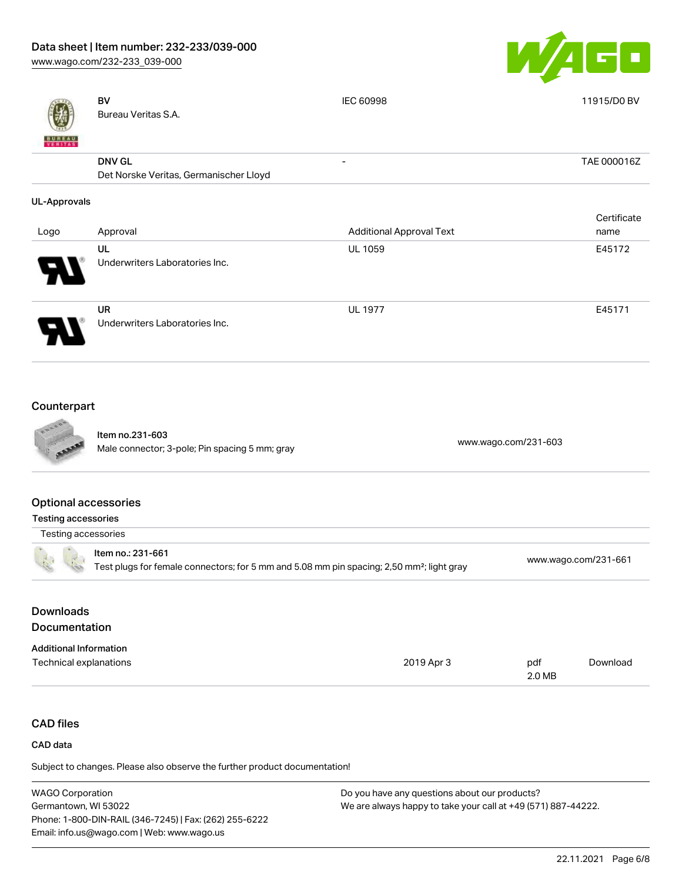[www.wago.com/232-233\\_039-000](http://www.wago.com/232-233_039-000)



| VERITAS                                            | <b>BV</b><br>Bureau Veritas S.A.                                  | IEC 60998                       | 11915/D0 BV         |
|----------------------------------------------------|-------------------------------------------------------------------|---------------------------------|---------------------|
|                                                    | <b>DNV GL</b><br>Det Norske Veritas, Germanischer Lloyd           |                                 | TAE 000016Z         |
| <b>UL-Approvals</b>                                |                                                                   |                                 |                     |
| Logo                                               | Approval                                                          | <b>Additional Approval Text</b> | Certificate<br>name |
|                                                    | UL<br>Underwriters Laboratories Inc.                              | <b>UL 1059</b>                  | E45172              |
|                                                    | <b>UR</b><br>Underwriters Laboratories Inc.                       | <b>UL 1977</b>                  | E45171              |
| Counterpart                                        |                                                                   |                                 |                     |
|                                                    | Item no.231-603<br>Male connector; 3-pole; Pin spacing 5 mm; gray | www.wago.com/231-603            |                     |
| <b>Optional accessories</b><br>Testing accessories |                                                                   |                                 |                     |

|  | Testing accessories                                                                                                        |                      |
|--|----------------------------------------------------------------------------------------------------------------------------|----------------------|
|  | ltem no.: 231-661<br>Test plugs for female connectors; for 5 mm and 5.08 mm pin spacing; 2,50 mm <sup>2</sup> ; light gray | www.wago.com/231-661 |
|  |                                                                                                                            |                      |

# Downloads Documentation

| <b>Additional Information</b> |            |        |          |
|-------------------------------|------------|--------|----------|
| Technical explanations        | 2019 Apr 3 | pdf    | Download |
|                               |            | 2.0 MB |          |

# CAD files

#### CAD data

| <b>WAGO Corporation</b>                                | Do you have any questions about our products?                 |
|--------------------------------------------------------|---------------------------------------------------------------|
| Germantown, WI 53022                                   | We are always happy to take your call at +49 (571) 887-44222. |
| Phone: 1-800-DIN-RAIL (346-7245)   Fax: (262) 255-6222 |                                                               |
| Email: info.us@wago.com   Web: www.wago.us             |                                                               |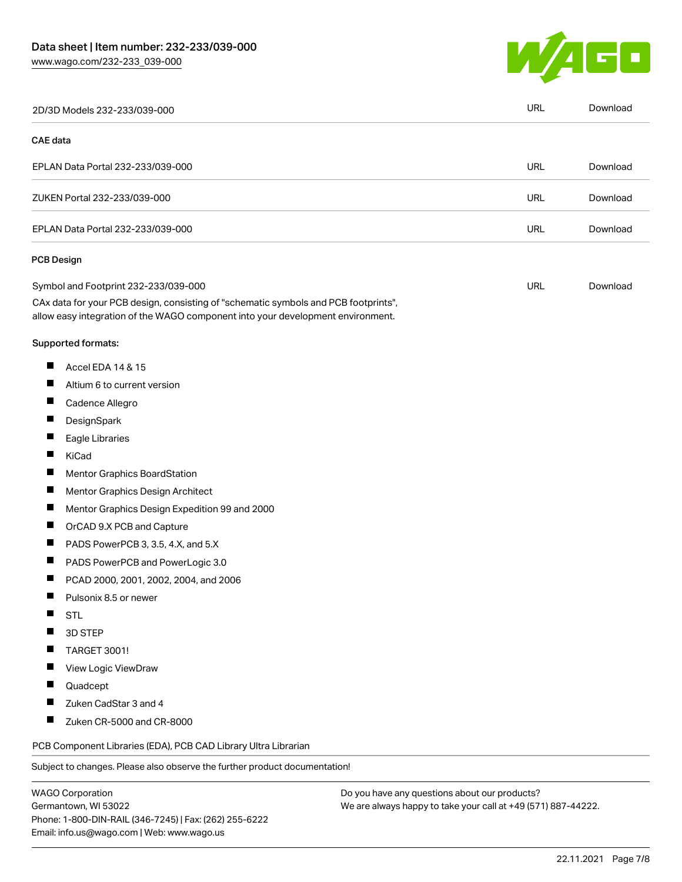Germantown, WI 53022

Phone: 1-800-DIN-RAIL (346-7245) | Fax: (262) 255-6222

Email: info.us@wago.com | Web: www.wago.us



| 2D/3D Models 232-233/039-000                                                                                                                                           |                                               | <b>URL</b> | Download |
|------------------------------------------------------------------------------------------------------------------------------------------------------------------------|-----------------------------------------------|------------|----------|
| <b>CAE</b> data                                                                                                                                                        |                                               |            |          |
| EPLAN Data Portal 232-233/039-000                                                                                                                                      |                                               | <b>URL</b> | Download |
| ZUKEN Portal 232-233/039-000                                                                                                                                           |                                               | <b>URL</b> | Download |
| EPLAN Data Portal 232-233/039-000                                                                                                                                      |                                               | URL        | Download |
| <b>PCB Design</b>                                                                                                                                                      |                                               |            |          |
| Symbol and Footprint 232-233/039-000                                                                                                                                   |                                               | <b>URL</b> | Download |
| CAx data for your PCB design, consisting of "schematic symbols and PCB footprints",<br>allow easy integration of the WAGO component into your development environment. |                                               |            |          |
| Supported formats:                                                                                                                                                     |                                               |            |          |
| ш<br>Accel EDA 14 & 15                                                                                                                                                 |                                               |            |          |
| ш<br>Altium 6 to current version                                                                                                                                       |                                               |            |          |
| H<br>Cadence Allegro                                                                                                                                                   |                                               |            |          |
| ш<br>DesignSpark                                                                                                                                                       |                                               |            |          |
| ш<br>Eagle Libraries                                                                                                                                                   |                                               |            |          |
| H<br>KiCad                                                                                                                                                             |                                               |            |          |
| ш<br>Mentor Graphics BoardStation                                                                                                                                      |                                               |            |          |
| Ш<br>Mentor Graphics Design Architect                                                                                                                                  |                                               |            |          |
| П<br>Mentor Graphics Design Expedition 99 and 2000                                                                                                                     |                                               |            |          |
| ш<br>OrCAD 9.X PCB and Capture                                                                                                                                         |                                               |            |          |
| ш<br>PADS PowerPCB 3, 3.5, 4.X, and 5.X                                                                                                                                |                                               |            |          |
| ш<br>PADS PowerPCB and PowerLogic 3.0                                                                                                                                  |                                               |            |          |
| ш<br>PCAD 2000, 2001, 2002, 2004, and 2006                                                                                                                             |                                               |            |          |
| ×.<br>Pulsonix 8.5 or newer                                                                                                                                            |                                               |            |          |
| ш<br><b>STL</b>                                                                                                                                                        |                                               |            |          |
| 3D STEP<br>ш                                                                                                                                                           |                                               |            |          |
| TARGET 3001!                                                                                                                                                           |                                               |            |          |
| View Logic ViewDraw                                                                                                                                                    |                                               |            |          |
| ш<br>Quadcept                                                                                                                                                          |                                               |            |          |
| Zuken CadStar 3 and 4                                                                                                                                                  |                                               |            |          |
| ш<br>Zuken CR-5000 and CR-8000                                                                                                                                         |                                               |            |          |
| PCB Component Libraries (EDA), PCB CAD Library Ultra Librarian                                                                                                         |                                               |            |          |
| Subject to changes. Please also observe the further product documentation!                                                                                             |                                               |            |          |
| <b>WAGO Corporation</b>                                                                                                                                                | Do you have any questions about our products? |            |          |

We are always happy to take your call at +49 (571) 887-44222.